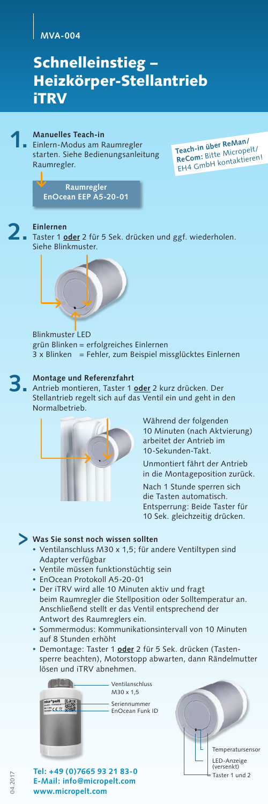### **MVA-004**

## Schnelleinstieg – Heizkörper-Stellantrieb iTRV



Einlern-Modus am Raumregler starten. Siehe Bedienungsanleitung Raumregler.

**Teach-in über ReMan/ ReCom:** Bitte Micropelt/ EH4 GmbH kontaktieren!

**Raumregler EnOcean EEP A5-20-01**

**2.**

**Einlernen** Taster 1 **oder** 2 für 5 Sek. drücken und ggf. wiederholen. Siehe Blinkmuster.



Blinkmuster LED grün Blinken = erfolgreiches Einlernen  $3 \times$  Blinken = Fehler, zum Beispiel missglücktes Einlernen

### **Montage und Referenzfahrt 3.**

Antrieb montieren, Taster 1 **oder** 2 kurz drücken. Der Stellantrieb regelt sich auf das Ventil ein und geht in den Normalbetrieb.



Während der folgenden 10 Minuten (nach Aktvierung) arbeitet der Antrieb im 10-Sekunden-Takt.

Unmontiert fährt der Antrieb in die Montageposition zurück.

Nach 1 Stunde sperren sich die Tasten automatisch. Entsperrung: Beide Taster für 10 Sek. gleichzeitig drücken.

## **Was Sie sonst noch wissen sollten >**

- Ventilanschluss M30 x 1,5; für andere Ventiltypen sind Adapter verfügbar
- Ventile müssen funktionstüchtig sein
- EnOcean Protokoll A5-20-01
- Der iTRV wird alle 10 Minuten aktiv und fragt beim Raumregler die Stellposition oder Solltemperatur an. Anschließend stellt er das Ventil entsprechend der Antwort des Raumreglers ein.
- Sommermodus: Kommunikationsintervall von 10 Minuten auf 8 Stunden erhöht
- Demontage: Taster 1 **oder** 2 für 5 Sek. drücken (Tastensperre beachten), Motorstopp abwarten, dann Rändelmutter lösen und iTRV abnehmen.



Ventilanschluss M30 x 1,5

Seriennummer EnOcean Funk ID

**Tel: +49 (0)7665 93 21 83-0 E-Mail: info@micropelt.com www.micropelt.com**